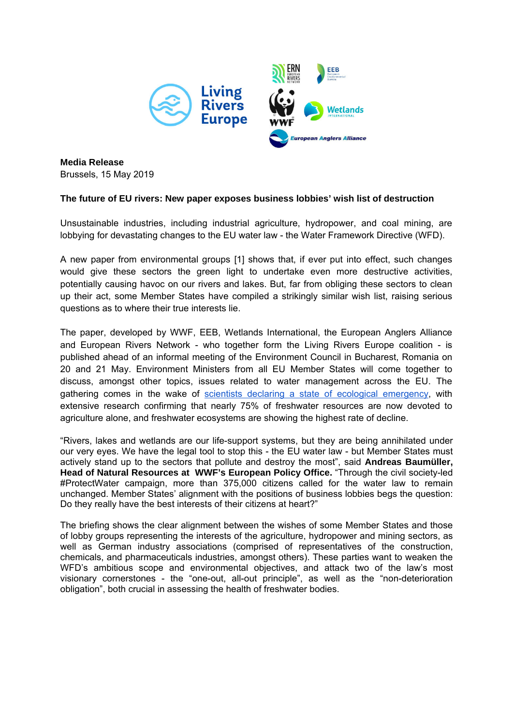

**Media Release**  Brussels, 15 May 2019

## **The future of EU rivers: New paper exposes business lobbies' wish list of destruction**

Unsustainable industries, including industrial agriculture, hydropower, and coal mining, are lobbying for devastating changes to the EU water law - the Water Framework Directive (WFD).

A new paper from environmental groups [1] shows that, if ever put into effect, such changes would give these sectors the green light to undertake even more destructive activities, potentially causing havoc on our rivers and lakes. But, far from obliging these sectors to clean up their act, some Member States have compiled a strikingly similar wish list, raising serious questions as to where their true interests lie.

The paper, developed by WWF, EEB, Wetlands International, the European Anglers Alliance and European Rivers Network - who together form the Living Rivers Europe coalition - is published ahead of an informal meeting of the Environment Council in Bucharest, Romania on 20 and 21 May. Environment Ministers from all EU Member States will come together to discuss, amongst other topics, issues related to water management across the EU. The gathering comes in the wake of scientists declaring a state of ecological emergency, with extensive research confirming that nearly 75% of freshwater resources are now devoted to agriculture alone, and freshwater ecosystems are showing the highest rate of decline.

"Rivers, lakes and wetlands are our life-support systems, but they are being annihilated under our very eyes. We have the legal tool to stop this - the EU water law - but Member States must actively stand up to the sectors that pollute and destroy the most", said **Andreas Baumüller, Head of Natural Resources at WWF's European Policy Office.** "Through the civil society-led #ProtectWater campaign, more than 375,000 citizens called for the water law to remain unchanged. Member States' alignment with the positions of business lobbies begs the question: Do they really have the best interests of their citizens at heart?"

The briefing shows the clear alignment between the wishes of some Member States and those of lobby groups representing the interests of the agriculture, hydropower and mining sectors, as well as German industry associations (comprised of representatives of the construction, chemicals, and pharmaceuticals industries, amongst others). These parties want to weaken the WFD's ambitious scope and environmental objectives, and attack two of the law's most visionary cornerstones - the "one-out, all-out principle", as well as the "non-deterioration obligation", both crucial in assessing the health of freshwater bodies.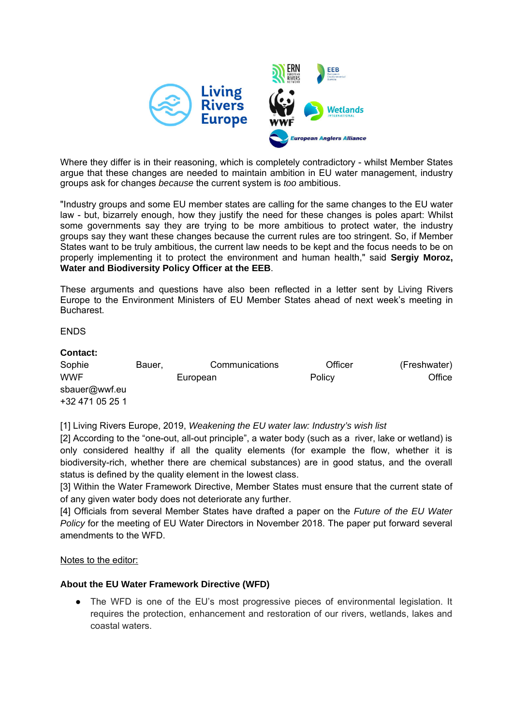

Where they differ is in their reasoning, which is completely contradictory - whilst Member States argue that these changes are needed to maintain ambition in EU water management, industry groups ask for changes *because* the current system is *too* ambitious.

"Industry groups and some EU member states are calling for the same changes to the EU water law - but, bizarrely enough, how they justify the need for these changes is poles apart: Whilst some governments say they are trying to be more ambitious to protect water, the industry groups say they want these changes because the current rules are too stringent. So, if Member States want to be truly ambitious, the current law needs to be kept and the focus needs to be on properly implementing it to protect the environment and human health," said **Sergiy Moroz, Water and Biodiversity Policy Officer at the EEB**.

These arguments and questions have also been reflected in a letter sent by Living Rivers Europe to the Environment Ministers of EU Member States ahead of next week's meeting in Bucharest.

ENDS

## **Contact:** Sophie Bauer, Communications Officer (Freshwater) WWF European Policy Office sbauer@wwf.eu +32 471 05 25 1

[1] Living Rivers Europe, 2019, *Weakening the EU water law: Industry's wish list*

[2] According to the "one-out, all-out principle", a water body (such as a river, lake or wetland) is only considered healthy if all the quality elements (for example the flow, whether it is biodiversity-rich, whether there are chemical substances) are in good status, and the overall status is defined by the quality element in the lowest class.

[3] Within the Water Framework Directive, Member States must ensure that the current state of of any given water body does not deteriorate any further.

[4] Officials from several Member States have drafted a paper on the *Future of the EU Water Policy* for the meeting of EU Water Directors in November 2018. The paper put forward several amendments to the WFD.

## Notes to the editor:

## **About the EU Water Framework Directive (WFD)**

• The WFD is one of the EU's most progressive pieces of environmental legislation. It requires the protection, enhancement and restoration of our rivers, wetlands, lakes and coastal waters.